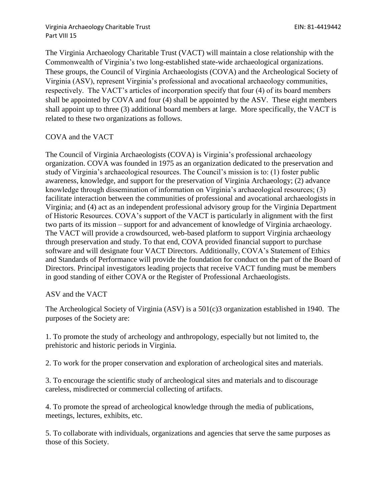Virginia Archaeology Charitable Trust EIN: 81-4419442 Part VIII 15

The Virginia Archaeology Charitable Trust (VACT) will maintain a close relationship with the Commonwealth of Virginia's two long-established state-wide archaeological organizations. These groups, the Council of Virginia Archaeologists (COVA) and the Archeological Society of Virginia (ASV), represent Virginia's professional and avocational archaeology communities, respectively. The VACT's articles of incorporation specify that four (4) of its board members shall be appointed by COVA and four (4) shall be appointed by the ASV. These eight members shall appoint up to three (3) additional board members at large. More specifically, the VACT is related to these two organizations as follows.

## COVA and the VACT

The Council of Virginia Archaeologists (COVA) is Virginia's professional archaeology organization. COVA was founded in 1975 as an organization dedicated to the preservation and study of Virginia's archaeological resources. The Council's mission is to: (1) foster public awareness, knowledge, and support for the preservation of Virginia Archaeology; (2) advance knowledge through dissemination of information on Virginia's archaeological resources; (3) facilitate interaction between the communities of professional and avocational archaeologists in Virginia; and (4) act as an independent professional advisory group for the Virginia Department of Historic Resources. COVA's support of the VACT is particularly in alignment with the first two parts of its mission – support for and advancement of knowledge of Virginia archaeology. The VACT will provide a crowdsourced, web-based platform to support Virginia archaeology through preservation and study. To that end, COVA provided financial support to purchase software and will designate four VACT Directors. Additionally, COVA's Statement of Ethics and Standards of Performance will provide the foundation for conduct on the part of the Board of Directors. Principal investigators leading projects that receive VACT funding must be members in good standing of either COVA or the Register of Professional Archaeologists.

## ASV and the VACT

The Archeological Society of Virginia (ASV) is a 501(c)3 organization established in 1940. The purposes of the Society are:

1. To promote the study of archeology and anthropology, especially but not limited to, the prehistoric and historic periods in Virginia.

2. To work for the proper conservation and exploration of archeological sites and materials.

3. To encourage the scientific study of archeological sites and materials and to discourage careless, misdirected or commercial collecting of artifacts.

4. To promote the spread of archeological knowledge through the media of publications, meetings, lectures, exhibits, etc.

5. To collaborate with individuals, organizations and agencies that serve the same purposes as those of this Society.